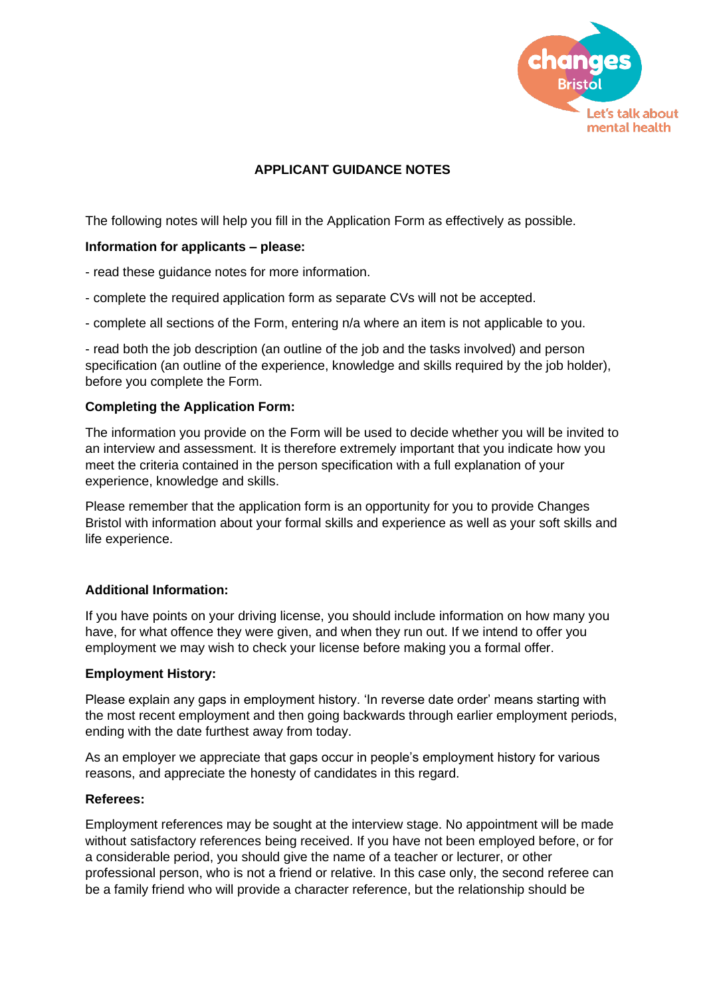

# **APPLICANT GUIDANCE NOTES**

The following notes will help you fill in the Application Form as effectively as possible.

#### **Information for applicants – please:**

- read these guidance notes for more information.
- complete the required application form as separate CVs will not be accepted.
- complete all sections of the Form, entering n/a where an item is not applicable to you.

- read both the job description (an outline of the job and the tasks involved) and person specification (an outline of the experience, knowledge and skills required by the job holder), before you complete the Form.

#### **Completing the Application Form:**

The information you provide on the Form will be used to decide whether you will be invited to an interview and assessment. It is therefore extremely important that you indicate how you meet the criteria contained in the person specification with a full explanation of your experience, knowledge and skills.

Please remember that the application form is an opportunity for you to provide Changes Bristol with information about your formal skills and experience as well as your soft skills and life experience.

#### **Additional Information:**

If you have points on your driving license, you should include information on how many you have, for what offence they were given, and when they run out. If we intend to offer you employment we may wish to check your license before making you a formal offer.

#### **Employment History:**

Please explain any gaps in employment history. 'In reverse date order' means starting with the most recent employment and then going backwards through earlier employment periods, ending with the date furthest away from today.

As an employer we appreciate that gaps occur in people's employment history for various reasons, and appreciate the honesty of candidates in this regard.

#### **Referees:**

Employment references may be sought at the interview stage. No appointment will be made without satisfactory references being received. If you have not been employed before, or for a considerable period, you should give the name of a teacher or lecturer, or other professional person, who is not a friend or relative. In this case only, the second referee can be a family friend who will provide a character reference, but the relationship should be